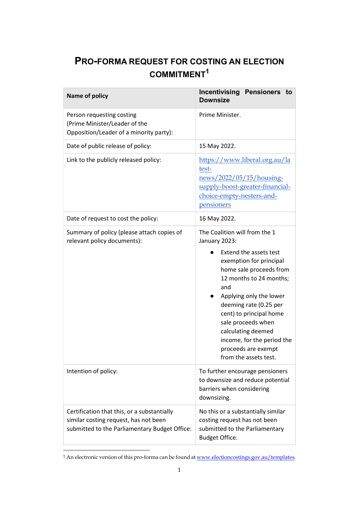## PRO-FORMA REQUEST FOR COSTING AN ELECTION COMMITMENT<sup>1</sup>

| <b>Name of policy</b>                                                                                                                 | <b>Incentivising Pensioners to</b><br><b>Downsize</b>                                                                                                                                                                                                                                                                                                                      |
|---------------------------------------------------------------------------------------------------------------------------------------|----------------------------------------------------------------------------------------------------------------------------------------------------------------------------------------------------------------------------------------------------------------------------------------------------------------------------------------------------------------------------|
| Person requesting costing<br>(Prime Minister/Leader of the<br>Opposition/Leader of a minority party):                                 | Prime Minister.                                                                                                                                                                                                                                                                                                                                                            |
| Date of public release of policy:                                                                                                     | 15 May 2022.                                                                                                                                                                                                                                                                                                                                                               |
| Link to the publicly released policy:                                                                                                 | https://www.liberal.org.au/la<br>test-<br>news/2022/05/15/housing-<br>supply-boost-greater-financial-<br>choice-empty-nesters-and-<br>pensioners                                                                                                                                                                                                                           |
| Date of request to cost the policy:                                                                                                   | 16 May 2022.                                                                                                                                                                                                                                                                                                                                                               |
| Summary of policy (please attach copies of<br>relevant policy documents):                                                             | The Coalition will from the 1<br>January 2023:<br>Extend the assets test<br>exemption for principal<br>home sale proceeds from<br>12 months to 24 months;<br>and<br>Applying only the lower<br>deeming rate (0.25 per<br>cent) to principal home<br>sale proceeds when<br>calculating deemed<br>income, for the period the<br>proceeds are exempt<br>from the assets test. |
| Intention of policy:                                                                                                                  | To further encourage pensioners<br>to downsize and reduce potential<br>barriers when considering<br>downsizing.                                                                                                                                                                                                                                                            |
| Certification that this, or a substantially<br>similar costing request, has not been<br>submitted to the Parliamentary Budget Office: | No this or a substantially similar<br>costing request has not been<br>submitted to the Parliamentary<br>Budget Office.                                                                                                                                                                                                                                                     |

<sup>&</sup>lt;sup>1</sup> An electronic version of this pro-forma can be found at <u>www.electioncostings.gov.au/templates</u>.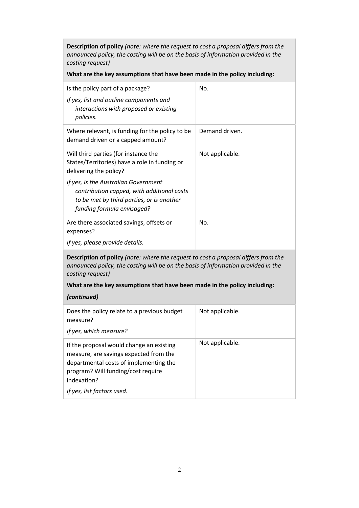Description of policy (note: where the request to cost a proposal differs from the announced policy, the costing will be on the basis of information provided in the costing request)

What are the key assumptions that have been made in the policy including:

| Is the policy part of a package?<br>If yes, list and outline components and<br>interactions with proposed or existing<br>policies.                            | No.             |  |
|---------------------------------------------------------------------------------------------------------------------------------------------------------------|-----------------|--|
| Where relevant, is funding for the policy to be<br>demand driven or a capped amount?                                                                          | Demand driven.  |  |
| Will third parties (for instance the<br>States/Territories) have a role in funding or<br>delivering the policy?                                               | Not applicable. |  |
| If yes, is the Australian Government<br>contribution capped, with additional costs<br>to be met by third parties, or is another<br>funding formula envisaged? |                 |  |
| Are there associated savings, offsets or<br>expenses?<br>If yes, please provide details.                                                                      | No.             |  |
| <b>Description of policy</b> (note: where the request to cost a proposal differs from the                                                                     |                 |  |

Description of policy (note: where the request to cost a proposal differs from the announced policy, the costing will be on the basis of information provided in the costing request)

What are the key assumptions that have been made in the policy including:

## (continued)

| Does the policy relate to a previous budget<br>measure?<br>If yes, which measure?                                                                                                 | Not applicable. |
|-----------------------------------------------------------------------------------------------------------------------------------------------------------------------------------|-----------------|
| If the proposal would change an existing<br>measure, are savings expected from the<br>departmental costs of implementing the<br>program? Will funding/cost require<br>indexation? | Not applicable. |
| If yes, list factors used.                                                                                                                                                        |                 |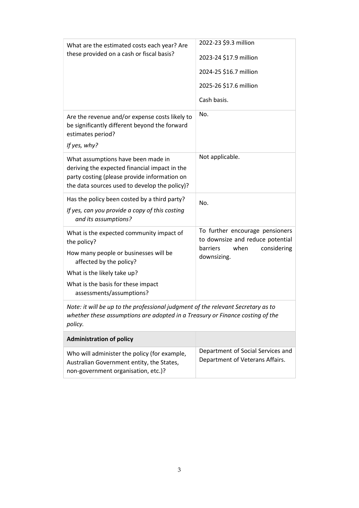| What are the estimated costs each year? Are<br>these provided on a cash or fiscal basis?                                                                                                                                     | 2022-23 \$9.3 million<br>2023-24 \$17.9 million<br>2024-25 \$16.7 million<br>2025-26 \$17.6 million<br>Cash basis.    |
|------------------------------------------------------------------------------------------------------------------------------------------------------------------------------------------------------------------------------|-----------------------------------------------------------------------------------------------------------------------|
| Are the revenue and/or expense costs likely to<br>be significantly different beyond the forward<br>estimates period?<br>If yes, why?                                                                                         | No.                                                                                                                   |
| What assumptions have been made in<br>deriving the expected financial impact in the<br>party costing (please provide information on<br>the data sources used to develop the policy)?                                         | Not applicable.                                                                                                       |
| Has the policy been costed by a third party?<br>If yes, can you provide a copy of this costing<br>and its assumptions?                                                                                                       | No.                                                                                                                   |
| What is the expected community impact of<br>the policy?<br>How many people or businesses will be<br>affected by the policy?<br>What is the likely take up?<br>What is the basis for these impact<br>assessments/assumptions? | To further encourage pensioners<br>to downsize and reduce potential<br>barriers<br>when<br>considering<br>downsizing. |
| Note: it will be up to the professional judgment of the relevant Secretary as to<br>whether these assumptions are adopted in a Treasury or Finance costing of the<br>policy.                                                 |                                                                                                                       |
| <b>Administration of policy</b>                                                                                                                                                                                              |                                                                                                                       |
| Who will administer the policy (for example,<br>Australian Government entity, the States,<br>non-government organisation, etc.)?                                                                                             | Department of Social Services and<br>Department of Veterans Affairs.                                                  |